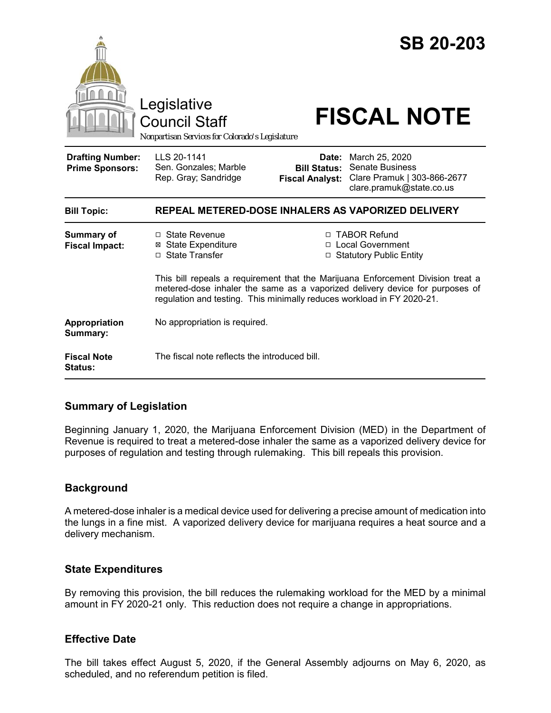

# **Summary of Legislation**

Beginning January 1, 2020, the Marijuana Enforcement Division (MED) in the Department of Revenue is required to treat a metered-dose inhaler the same as a vaporized delivery device for purposes of regulation and testing through rulemaking. This bill repeals this provision.

### **Background**

A metered-dose inhaler is a medical device used for delivering a precise amount of medication into the lungs in a fine mist. A vaporized delivery device for marijuana requires a heat source and a delivery mechanism.

### **State Expenditures**

By removing this provision, the bill reduces the rulemaking workload for the MED by a minimal amount in FY 2020-21 only. This reduction does not require a change in appropriations.

### **Effective Date**

The bill takes effect August 5, 2020, if the General Assembly adjourns on May 6, 2020, as scheduled, and no referendum petition is filed.